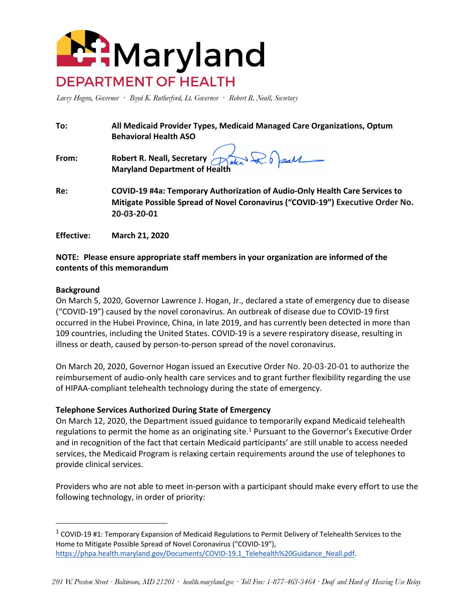

Larry Hogan, Governor · Boyd K. Rutherford, Lt. Governor · Robert R. Neall, Secretary

| To:   | All Medicaid Provider Types, Medicaid Managed Care Organizations, Optum<br><b>Behavioral Health ASO</b>                                                                      |
|-------|------------------------------------------------------------------------------------------------------------------------------------------------------------------------------|
| From: | Robert R. Neall, Secretary<br>Maryland Department of Health                                                                                                                  |
| Re:   | COVID-19 #4a: Temporary Authorization of Audio-Only Health Care Services to<br>Mitigate Possible Spread of Novel Coronavirus ("COVID-19") Executive Order No.<br>20-03-20-01 |

### **NOTE: Please ensure appropriate staff members in your organization are informed of the contents of this memorandum**

#### **Background**

**Effective: March 21, 2020** 

On March 5, 2020, Governor Lawrence J. Hogan, Jr., declared a state of emergency due to disease ("COVID-19") caused by the novel coronavirus. An outbreak of disease due to COVID-19 first occurred in the Hubei Province, China, in late 2019, and has currently been detected in more than 109 countries, including the United States. COVID-19 is a severe respiratory disease, resulting in illness or death, caused by person-to-person spread of the novel coronavirus.

On March 20, 2020, Governor Hogan issued an Executive Order No. 20-03-20-01 to authorize the reimbursement of audio-only health care services and to grant further flexibility regarding the use of HIPAA-compliant telehealth technology during the state of emergency.

#### **Telephone Services Authorized During State of Emergency**

On March 12, 2020, the Department issued guidance to temporarily expand Medicaid telehealth regulations to permit the home as an originating site.<sup>1</sup> Pursuant to the Governor's Executive Order and in recognition of the fact that certain Medicaid participants' are still unable to access needed services, the Medicaid Program is relaxing certain requirements around the use of telephones to provide clinical services.

Providers who are not able to meet in-person with a participant should make every effort to use the following technology, in order of priority:

 $1$  COVID-19 #1: Temporary Expansion of Medicaid Regulations to Permit Delivery of Telehealth Services to the Home to Mitigate Possible Spread of Novel Coronavirus ("COVID-19"), https://phpa.health.maryland.gov/Documents/COVID-19.1\_Telehealth%20Guidance\_Neall.pdf.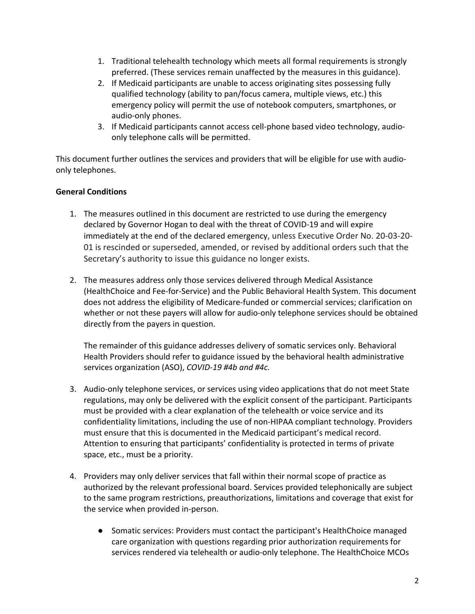- 1. Traditional telehealth technology which meets all formal requirements is strongly preferred. (These services remain unaffected by the measures in this guidance).
- 2. If Medicaid participants are unable to access originating sites possessing fully qualified technology (ability to pan/focus camera, multiple views, etc.) this emergency policy will permit the use of notebook computers, smartphones, or audio-only phones.
- 3. If Medicaid participants cannot access cell-phone based video technology, audioonly telephone calls will be permitted.

This document further outlines the services and providers that will be eligible for use with audioonly telephones.

## **General Conditions**

- 1. The measures outlined in this document are restricted to use during the emergency declared by Governor Hogan to deal with the threat of COVID-19 and will expire immediately at the end of the declared emergency, unless Executive Order No. 20-03-20- 01 is rescinded or superseded, amended, or revised by additional orders such that the Secretary's authority to issue this guidance no longer exists.
- 2. The measures address only those services delivered through Medical Assistance (HealthChoice and Fee-for-Service) and the Public Behavioral Health System. This document does not address the eligibility of Medicare-funded or commercial services; clarification on whether or not these payers will allow for audio-only telephone services should be obtained directly from the payers in question.

The remainder of this guidance addresses delivery of somatic services only. Behavioral Health Providers should refer to guidance issued by the behavioral health administrative services organization (ASO), *COVID-19 #4b and #4c.* 

- 3. Audio-only telephone services, or services using video applications that do not meet State regulations, may only be delivered with the explicit consent of the participant. Participants must be provided with a clear explanation of the telehealth or voice service and its confidentiality limitations, including the use of non-HIPAA compliant technology. Providers must ensure that this is documented in the Medicaid participant's medical record. Attention to ensuring that participants' confidentiality is protected in terms of private space, etc., must be a priority.
- 4. Providers may only deliver services that fall within their normal scope of practice as authorized by the relevant professional board. Services provided telephonically are subject to the same program restrictions, preauthorizations, limitations and coverage that exist for the service when provided in-person.
	- Somatic services: Providers must contact the participant's HealthChoice managed care organization with questions regarding prior authorization requirements for services rendered via telehealth or audio-only telephone. The HealthChoice MCOs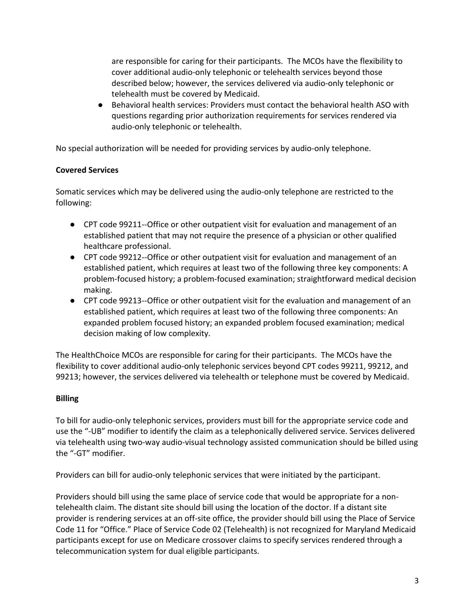are responsible for caring for their participants. The MCOs have the flexibility to cover additional audio-only telephonic or telehealth services beyond those described below; however, the services delivered via audio-only telephonic or telehealth must be covered by Medicaid.

● Behavioral health services: Providers must contact the behavioral health ASO with questions regarding prior authorization requirements for services rendered via audio-only telephonic or telehealth.

No special authorization will be needed for providing services by audio-only telephone.

# **Covered Services**

Somatic services which may be delivered using the audio-only telephone are restricted to the following:

- CPT code 99211--Office or other outpatient visit for evaluation and management of an established patient that may not require the presence of a physician or other qualified healthcare professional.
- CPT code 99212--Office or other outpatient visit for evaluation and management of an established patient, which requires at least two of the following three key components: A problem-focused history; a problem-focused examination; straightforward medical decision making.
- CPT code 99213--Office or other outpatient visit for the evaluation and management of an established patient, which requires at least two of the following three components: An expanded problem focused history; an expanded problem focused examination; medical decision making of low complexity.

The HealthChoice MCOs are responsible for caring for their participants. The MCOs have the flexibility to cover additional audio-only telephonic services beyond CPT codes 99211, 99212, and 99213; however, the services delivered via telehealth or telephone must be covered by Medicaid.

### **Billing**

To bill for audio-only telephonic services, providers must bill for the appropriate service code and use the "-UB" modifier to identify the claim as a telephonically delivered service. Services delivered via telehealth using two-way audio-visual technology assisted communication should be billed using the "-GT" modifier.

Providers can bill for audio-only telephonic services that were initiated by the participant.

Providers should bill using the same place of service code that would be appropriate for a nontelehealth claim. The distant site should bill using the location of the doctor. If a distant site provider is rendering services at an off-site office, the provider should bill using the Place of Service Code 11 for "Office." Place of Service Code 02 (Telehealth) is not recognized for Maryland Medicaid participants except for use on Medicare crossover claims to specify services rendered through a telecommunication system for dual eligible participants.